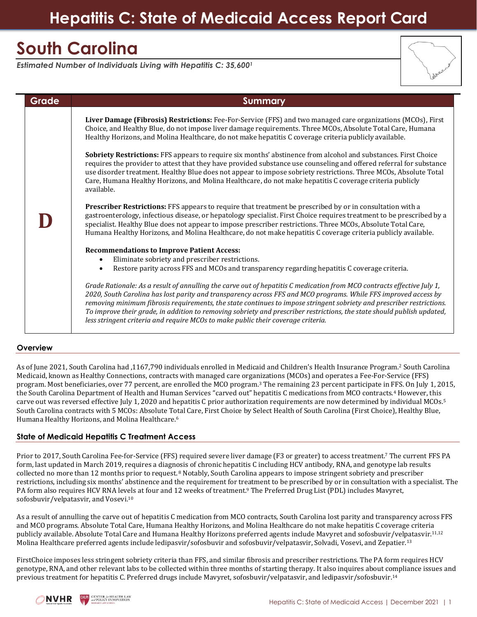# **Hepatitis C: State of Medicaid Access Report Card**

# **South Carolina**

*Estimated Number of Individuals Living with Hepatitis C: 35,600<sup>1</sup>*

| Grade | <b>Summary</b>                                                                                                                                                                                                                                                                                                                                                                                                                                                                                                                                                                                                                                                                                                                                                                                                                                                                                                                                                                                                                                                                                                                                                                                                                                                                                                                                                                                                                                                                                                                                                                                                                                                                                                                                                                                                                                                                                                                                                                                                                                                                                                            |
|-------|---------------------------------------------------------------------------------------------------------------------------------------------------------------------------------------------------------------------------------------------------------------------------------------------------------------------------------------------------------------------------------------------------------------------------------------------------------------------------------------------------------------------------------------------------------------------------------------------------------------------------------------------------------------------------------------------------------------------------------------------------------------------------------------------------------------------------------------------------------------------------------------------------------------------------------------------------------------------------------------------------------------------------------------------------------------------------------------------------------------------------------------------------------------------------------------------------------------------------------------------------------------------------------------------------------------------------------------------------------------------------------------------------------------------------------------------------------------------------------------------------------------------------------------------------------------------------------------------------------------------------------------------------------------------------------------------------------------------------------------------------------------------------------------------------------------------------------------------------------------------------------------------------------------------------------------------------------------------------------------------------------------------------------------------------------------------------------------------------------------------------|
|       | Liver Damage (Fibrosis) Restrictions: Fee-For-Service (FFS) and two managed care organizations (MCOs), First<br>Choice, and Healthy Blue, do not impose liver damage requirements. Three MCOs, Absolute Total Care, Humana<br>Healthy Horizons, and Molina Healthcare, do not make hepatitis C coverage criteria publicly available.<br>Sobriety Restrictions: FFS appears to require six months' abstinence from alcohol and substances. First Choice<br>requires the provider to attest that they have provided substance use counseling and offered referral for substance<br>use disorder treatment. Healthy Blue does not appear to impose sobriety restrictions. Three MCOs, Absolute Total<br>Care, Humana Healthy Horizons, and Molina Healthcare, do not make hepatitis C coverage criteria publicly<br>available.<br>Prescriber Restrictions: FFS appears to require that treatment be prescribed by or in consultation with a<br>gastroenterology, infectious disease, or hepatology specialist. First Choice requires treatment to be prescribed by a<br>specialist. Healthy Blue does not appear to impose prescriber restrictions. Three MCOs, Absolute Total Care,<br>Humana Healthy Horizons, and Molina Healthcare, do not make hepatitis C coverage criteria publicly available.<br><b>Recommendations to Improve Patient Access:</b><br>Eliminate sobriety and prescriber restrictions.<br>$\bullet$<br>Restore parity across FFS and MCOs and transparency regarding hepatitis C coverage criteria.<br>$\bullet$<br>Grade Rationale: As a result of annulling the carve out of hepatitis C medication from MCO contracts effective July 1,<br>2020, South Carolina has lost parity and transparency across FFS and MCO programs. While FFS improved access by<br>removing minimum fibrosis requirements, the state continues to impose stringent sobriety and prescriber restrictions.<br>To improve their grade, in addition to removing sobriety and prescriber restrictions, the state should publish updated,<br>less stringent criteria and require MCOs to make public their coverage criteria. |

## **Overview**

As of June 2021, South Carolina had ,1167,790 individuals enrolled in Medicaid and Children's Health Insurance Program.<sup>2</sup> South Carolina Medicaid, known as Healthy Connections, contracts with managed care organizations (MCOs) and operates a Fee-For-Service (FFS) program. Most beneficiaries, over 77 percent, are enrolled the MCO program.<sup>3</sup> The remaining 23 percent participate in FFS. On July 1, 2015, the South Carolina Department of Health and Human Services "carved out" hepatitis C medications from MCO contracts.<sup>4</sup> However, this carve out was reversed effective July 1, 2020 and hepatitis C prior authorization requirements are now determined by individual MCOs. 5 South Carolina contracts with 5 MCOs: Absolute Total Care, First Choice by Select Health of South Carolina (First Choice), Healthy Blue, Humana Healthy Horizons, and Molina Healthcare.<sup>6</sup>

## **State of Medicaid Hepatitis C Treatment Access**

Prior to 2017, South Carolina Fee-for-Service (FFS) required severe liver damage (F3 or greater) to access treatment.<sup>7</sup> The current FFS PA form, last updated in March 2019, requires a diagnosis of chronic hepatitis C including HCV antibody, RNA, and genotype lab results collected no more than 12 months prior to request. <sup>8</sup> Notably, South Carolina appears to impose stringent sobriety and prescriber restrictions, including six months' abstinence and the requirement for treatment to be prescribed by or in consultation with a specialist. The PA form also requires HCV RNA levels at four and 12 weeks of treatment.<sup>9</sup> The Preferred Drug List (PDL) includes Mavyret, sofosbuvir/velpatasvir, and Vosevi. 10

As a result of annulling the carve out of hepatitis C medication from MCO contracts, South Carolina lost parity and transparency across FFS and MCO programs. Absolute Total Care, Humana Healthy Horizons, and Molina Healthcare do not make hepatitis C coverage criteria publicly available. Absolute Total Care and Humana Healthy Horizons preferred agents include Mavyret and sofosbuvir/velpatasvir.11,12 Molina Healthcare preferred agents include ledipasvir/sofosbuvir and sofosbuvir/velpatasvir, Solvadi, Vosevi, and Zepatier.<sup>13</sup>

FirstChoice imposes less stringent sobriety criteria than FFS, and similar fibrosis and prescriber restrictions. The PA form requires HCV genotype, RNA, and other relevant labs to be collected within three months of starting therapy. It also inquires about compliance issues and previous treatment for hepatitis C. Preferred drugs include Mavyret, sofosbuvir/velpatasvir, and ledipasvir/sofosbuvir.<sup>14</sup>

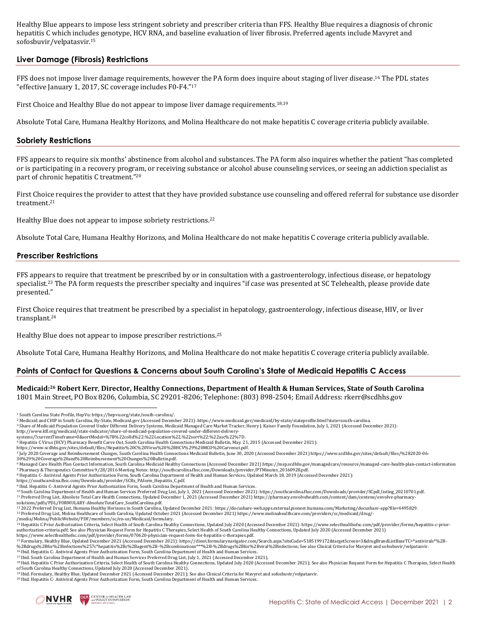Healthy Blue appears to impose less stringent sobriety and prescriber criteria than FFS. Healthy Blue requires a diagnosis of chronic hepatitis C which includes genotype, HCV RNA, and baseline evaluation of liver fibrosis. Preferred agents include Mavyret and sofosbuvir/velpatasvir.<sup>15</sup>

# **Liver Damage (Fibrosis) Restrictions**

FFS does not impose liver damage requirements, however the PA form does inquire about staging of liver disease.<sup>16</sup> The PDL states "effective January 1, 2017, SC coverage includes F0-F4."<sup>17</sup>

First Choice and Healthy Blue do not appear to impose liver damage requirements.18,19

Absolute Total Care, Humana Healthy Horizons, and Molina Healthcare do not make hepatitis C coverage criteria publicly available.

### **Sobriety Restrictions**

FFS appears to require six months' abstinence from alcohol and substances. The PA form also inquires whether the patient "has completed or is participating in a recovery program, or receiving substance or alcohol abuse counseling services, or seeing an addiction specialist as part of chronic hepatitis C treatment."<sup>20</sup>

First Choice requires the provider to attest that they have provided substance use counseling and offered referral for substance use disorder treatment.<sup>21</sup>

Healthy Blue does not appear to impose sobriety restrictions.<sup>22</sup>

Absolute Total Care, Humana Healthy Horizons, and Molina Healthcare do not make hepatitis C coverage criteria publicly available.

#### **Prescriber Restrictions**

FFS appears to require that treatment be prescribed by or in consultation with a gastroenterology, infectious disease, or hepatology specialist.<sup>23</sup> The PA form requests the prescriber specialty and inquires "if case was presented at SC Telehealth, please provide date presented."

First Choice requires that treatment be prescribed by a specialist in hepatology, gastroenterology, infectious disease, HIV, or liver transplant.<sup>24</sup>

Healthy Blue does not appear to impose prescriber restrictions.<sup>25</sup>

Absolute Total Care, Humana Healthy Horizons, and Molina Healthcare do not make hepatitis C coverage criteria publicly available.

## **Points of Contact for Questions & Concerns about South Carolina's State of Medicaid Hepatitis C Access**

**Medicaid: <sup>26</sup> Robert Kerr**, **Director, Healthy Connections, Department of Health & Human Services, State of South Carolina** 1801 Main Street, PO Box 8206, Columbia, SC 29201‐8206; Telephone: (803) 898-2504; Email Address: [rkerr@scdhhs.gov](mailto:deidra.singleton@scdhhs.gov)

<sup>2</sup> Medicaid and CHIP in South Carolina, By-State, Medicaid.gov (Accessed December 2021)[: https://www.medicaid.gov/medicaid/by-state/stateprofile.html?state=south-carolina.](https://www.medicaid.gov/medicaid/by-state/stateprofile.html?state=south-carolina)

<sup>6</sup> Managed Care Health Plan Contact Information, South Carolina Medicaid Healthy Connections (Accessed December 2021) https://msp.scdhhs.gov/managedcare/resource/managed-care-health-plan-contact-information <sup>7</sup> Pharmacy & Therapeutics Committee 9/28/2016 Meeting Notes[: http://southcarolina.fhsc.com/Downloads/provider/PTMinutes\\_20160928.pdf.](http://southcarolina.fhsc.com/Downloads/provider/PTMinutes_20160928.pdf)<br><sup>8</sup> Hepatitis C- Antiviral Agents Prior Authorization Form, South Carolina Department

https://southcarolina.fhsc.com/Downloads/provider/SCRx\_PAform\_Hepatitis\_C.pdf.

<sup>9</sup> Ibid. Hepatitis C- Antiviral Agents Prior Authorization Form, South Carolina Department of Health and Human Services.<br><sup>10</sup> South Carolina Department of Health and Human Services Preferred Drug List, July 1, 2021 (Acces <sup>11</sup> Preferred Drug List, Absolute Total Care Health Connections, Updated December 1, 2021 (Accessed December 2021) https://pharmacy.envolvehealth.com/content/dam/centene/envolve-pharmacysolutions/pdfs/PDL/FORMULARY-AbsoluteTotalCare\_SouthCarolina.pdf.

<sup>12</sup> 2022 Preferred Drug List, Humana Healthy Horizons in South Carolina, Updated December 2021: https://docushare-web.apps.external.pioneer.humana.com/Marketing/docushare-app?file=4495829. 13 Preferred Drug List, Molina Healthcare of South Carolina, Updated October 2021 (Accessed December 2021) https://www.molinahealthcare.com/providers/sc/medicaid/drug/-<br>/media/Molina/PublicWebsite/PDF/members/sc/en-us/Medi

<sup>20</sup> Ibid. Hepatitis C- Antiviral Agents Prior Authorization Form, South Carolina Department of Health and Human Services.



<sup>1</sup> South Carolina State Profile, HepVu[: https://hepvu.org/state/south-carolina/.](https://hepvu.org/state/south-carolina/)

<sup>3</sup> Share of Medicaid Population Covered Under Different Delivery Systems, Medicaid Managed Care Market Tracker, Henry J. Kaiser Family Foundation, July 1, 2021 (Accessed December 2021): [http://www.kff.org/medicaid/state-indicator/share-of-medicaid-population-covered-under-different-delivery-](http://www.kff.org/medicaid/state-indicator/share-of-medicaid-population-covered-under-different-delivery-systems/?currentTimeframe=0&sortModel=%7B%22colId%22:%22Location%22,%22sort%22:%22asc%22%7D)

[systems/?currentTimeframe=0&sortModel=%7B%22colId%22:%22Location%22,%22sort%22:%22asc%22%7D.](http://www.kff.org/medicaid/state-indicator/share-of-medicaid-population-covered-under-different-delivery-systems/?currentTimeframe=0&sortModel=%7B%22colId%22:%22Location%22,%22sort%22:%22asc%22%7D)<br>4 Hepatitis C Virus (HCV) Pharmacy Benefit Carve Out, South Carolina Health Connections Medicaid Bulletin, May. 21, 2015 (Accesse

[https://www.scdhhs.gov/sites/default/files/Hepatitis%20C%20Virus%20%28HCV%29%20MCO%20Carveout.pdf.](https://www.scdhhs.gov/sites/default/files/Hepatitis%20C%20Virus%20%28HCV%29%20MCO%20Carveout.pdf)

<sup>&</sup>lt;sup>5</sup> July 2020 Coverage and Reimbursement Changes, South Carolina Health Connections Medicaid Bulletin, June 30, 2020 (Accessed December 2021) https://www.scdhhs.gov/sites/default/files/%282020-06-<br>30%29%20Coverage%20and%20

<sup>14</sup> Hepatitis C Prior Authorization Criteria, Select Health of South Carolina Healthy Connections, Updated July 2020 (Accessed December 2021): [https://www.selecthealthofsc.com/pdf/provider/forms/hepatitis-c-prior](https://www.selecthealthofsc.com/pdf/provider/forms/hepatitis-c-prior-authorization-criteria.pdf)[authorization-criteria.pdf;](https://www.selecthealthofsc.com/pdf/provider/forms/hepatitis-c-prior-authorization-criteria.pdf) See also Physician Request Form for Hepatitis C Therapies, Select Health of South Carolina Healthy Connections, Updated July 2020 (Accessed December 2021)<br>https://www.selecthealthofsc.com/pdf/pr

<sup>15</sup> Formulary, Healthy Blue, Updated December 2021 (Accessed December 2021): [https://client.formularynavigator.com/Search.aspx?siteCode=5185199172&targetScreen=3&drugBrandListBaseTC=\\*antivirals\\*%2B-](https://client.formularynavigator.com/Search.aspx?siteCode=5185199172&targetScreen=3&drugBrandListBaseTC=*antivirals*%2B-%2Bdrugs%2Bfor%2Binfections%257c*hepatitis%2Bc%2Bagent%2B-%2Bcombinations***%2B-%2Bdrugs%2Bfor%2Bviral%2Binfections) [%2Bdrugs%2Bfor%2Binfections%257c\\*hepatitis%2Bc%2Bagent%2B-%2Bcombinations\\*\\*\\*%2B-%2Bdrugs%2Bfor%2Bviral%2Binfections;](https://client.formularynavigator.com/Search.aspx?siteCode=5185199172&targetScreen=3&drugBrandListBaseTC=*antivirals*%2B-%2Bdrugs%2Bfor%2Binfections%257c*hepatitis%2Bc%2Bagent%2B-%2Bcombinations***%2B-%2Bdrugs%2Bfor%2Bviral%2Binfections) See also Clinical Criteria for Mavyret and sofosbuvir/velpatasvir.<br><sup>16</sup> Ibid. Hepatitis C- Antiviral Agen

<sup>18</sup> Ibid. Hepatitis C Prior Authorization Criteria, Select Health of South Carolina Healthy Connections, Updated July 2020 (Accessed December 2021); See also Physician Request Form for Hepatitis C Therapies, Select Health of South Carolina Healthy Connections, Updated July 2020 (Accessed December 2021).

<sup>19</sup> Ibid. Formulary, Healthy Blue, Updated December 2021 (Accessed December 2021); See also Clinical Criteria for Mavyret and sofosbuvir/velpatasvir.